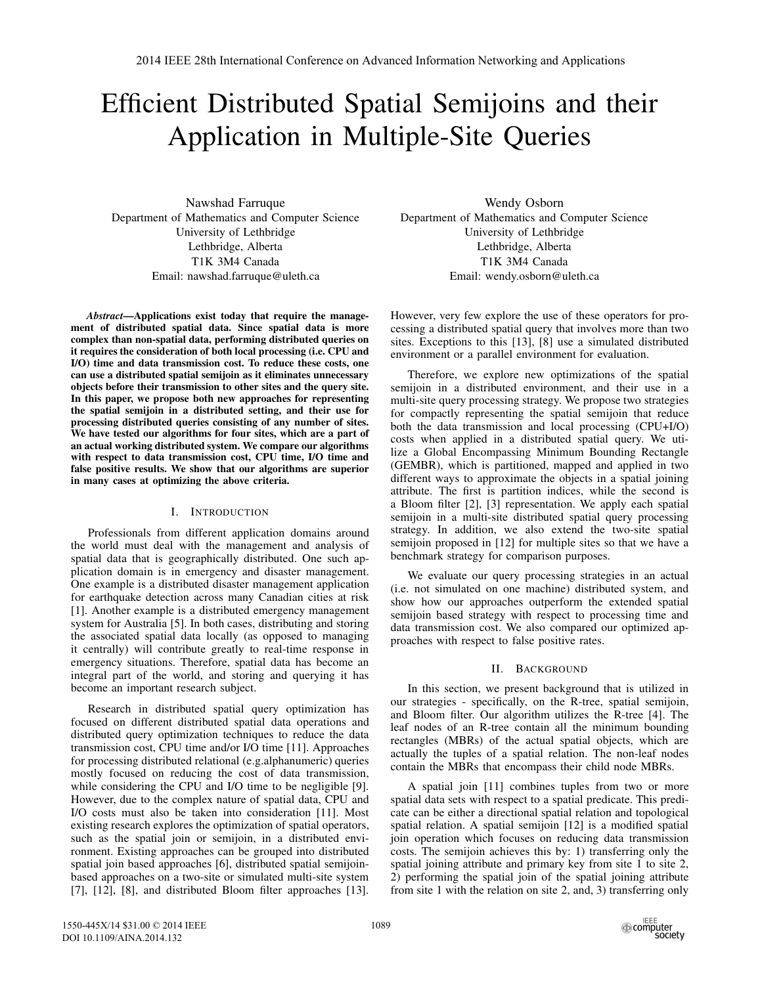# Efficient Distributed Spatial Semijoins and their Application in Multiple-Site Queries

Nawshad Farruque Department of Mathematics and Computer Science University of Lethbridge Lethbridge, Alberta T1K 3M4 Canada Email: nawshad.farruque@uleth.ca

*Abstract*—Applications exist today that require the management of distributed spatial data. Since spatial data is more complex than non-spatial data, performing distributed queries on it requires the consideration of both local processing (i.e. CPU and I/O) time and data transmission cost. To reduce these costs, one can use a distributed spatial semijoin as it eliminates unnecessary objects before their transmission to other sites and the query site. In this paper, we propose both new approaches for representing the spatial semijoin in a distributed setting, and their use for processing distributed queries consisting of any number of sites. We have tested our algorithms for four sites, which are a part of an actual working distributed system. We compare our algorithms with respect to data transmission cost, CPU time, I/O time and false positive results. We show that our algorithms are superior in many cases at optimizing the above criteria.

# I. INTRODUCTION

Professionals from different application domains around the world must deal with the management and analysis of spatial data that is geographically distributed. One such application domain is in emergency and disaster management. One example is a distributed disaster management application for earthquake detection across many Canadian cities at risk [1]. Another example is a distributed emergency management system for Australia [5]. In both cases, distributing and storing the associated spatial data locally (as opposed to managing it centrally) will contribute greatly to real-time response in emergency situations. Therefore, spatial data has become an integral part of the world, and storing and querying it has become an important research subject.

Research in distributed spatial query optimization has focused on different distributed spatial data operations and distributed query optimization techniques to reduce the data transmission cost, CPU time and/or I/O time [11]. Approaches for processing distributed relational (e.g.alphanumeric) queries mostly focused on reducing the cost of data transmission, while considering the CPU and I/O time to be negligible [9]. However, due to the complex nature of spatial data, CPU and I/O costs must also be taken into consideration [11]. Most existing research explores the optimization of spatial operators, such as the spatial join or semijoin, in a distributed environment. Existing approaches can be grouped into distributed spatial join based approaches [6], distributed spatial semijoinbased approaches on a two-site or simulated multi-site system [7], [12], [8], and distributed Bloom filter approaches [13].

Wendy Osborn Department of Mathematics and Computer Science University of Lethbridge Lethbridge, Alberta T1K 3M4 Canada Email: wendy.osborn@uleth.ca

However, very few explore the use of these operators for processing a distributed spatial query that involves more than two sites. Exceptions to this [13], [8] use a simulated distributed environment or a parallel environment for evaluation.

Therefore, we explore new optimizations of the spatial semijoin in a distributed environment, and their use in a multi-site query processing strategy. We propose two strategies for compactly representing the spatial semijoin that reduce both the data transmission and local processing (CPU+I/O) costs when applied in a distributed spatial query. We utilize a Global Encompassing Minimum Bounding Rectangle (GEMBR), which is partitioned, mapped and applied in two different ways to approximate the objects in a spatial joining attribute. The first is partition indices, while the second is a Bloom filter [2], [3] representation. We apply each spatial semijoin in a multi-site distributed spatial query processing strategy. In addition, we also extend the two-site spatial semijoin proposed in [12] for multiple sites so that we have a benchmark strategy for comparison purposes.

We evaluate our query processing strategies in an actual (i.e. not simulated on one machine) distributed system, and show how our approaches outperform the extended spatial semijoin based strategy with respect to processing time and data transmission cost. We also compared our optimized approaches with respect to false positive rates.

## II. BACKGROUND

In this section, we present background that is utilized in our strategies - specifically, on the R-tree, spatial semijoin, and Bloom filter. Our algorithm utilizes the R-tree [4]. The leaf nodes of an R-tree contain all the minimum bounding rectangles (MBRs) of the actual spatial objects, which are actually the tuples of a spatial relation. The non-leaf nodes contain the MBRs that encompass their child node MBRs.

A spatial join [11] combines tuples from two or more spatial data sets with respect to a spatial predicate. This predicate can be either a directional spatial relation and topological spatial relation. A spatial semijoin [12] is a modified spatial join operation which focuses on reducing data transmission costs. The semijoin achieves this by: 1) transferring only the spatial joining attribute and primary key from site 1 to site 2, 2) performing the spatial join of the spatial joining attribute from site 1 with the relation on site 2, and, 3) transferring only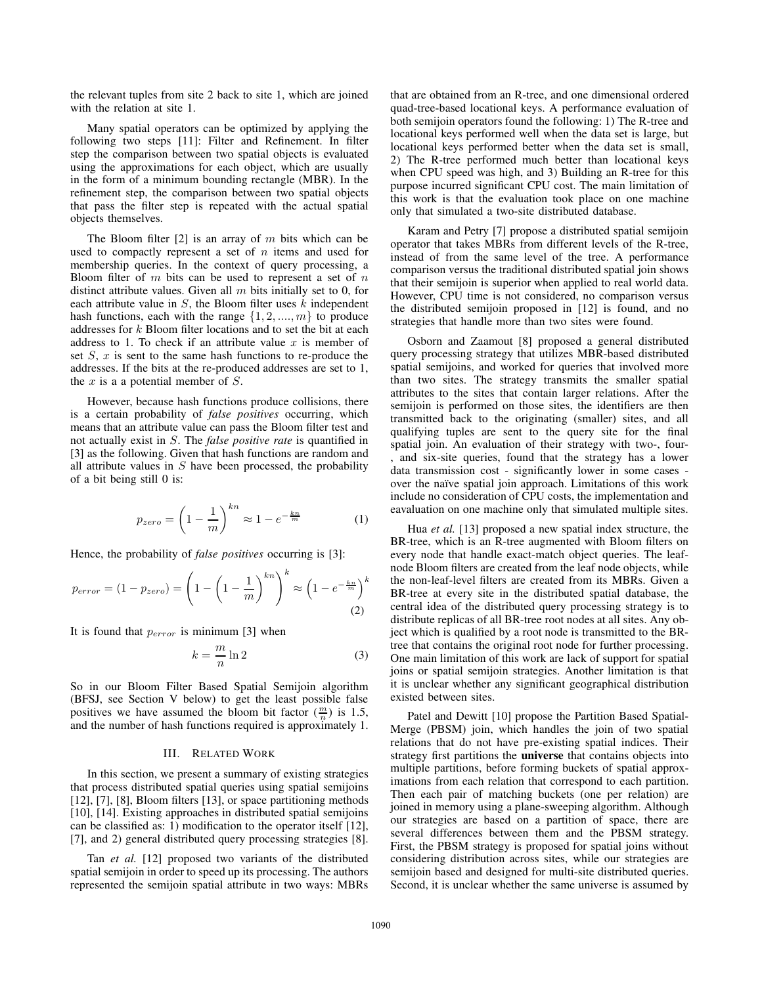the relevant tuples from site 2 back to site 1, which are joined with the relation at site 1.

Many spatial operators can be optimized by applying the following two steps [11]: Filter and Refinement. In filter step the comparison between two spatial objects is evaluated using the approximations for each object, which are usually in the form of a minimum bounding rectangle (MBR). In the refinement step, the comparison between two spatial objects that pass the filter step is repeated with the actual spatial objects themselves.

The Bloom filter  $[2]$  is an array of m bits which can be used to compactly represent a set of  $n$  items and used for membership queries. In the context of query processing, a Bloom filter of  $m$  bits can be used to represent a set of  $n$ distinct attribute values. Given all  $m$  bits initially set to 0, for each attribute value in  $S$ , the Bloom filter uses  $k$  independent hash functions, each with the range  $\{1, 2, ..., m\}$  to produce addresses for  $k$  Bloom filter locations and to set the bit at each address to 1. To check if an attribute value  $x$  is member of set  $S$ ,  $x$  is sent to the same hash functions to re-produce the addresses. If the bits at the re-produced addresses are set to 1, the  $x$  is a a potential member of  $S$ .

However, because hash functions produce collisions, there is a certain probability of *false positives* occurring, which means that an attribute value can pass the Bloom filter test and not actually exist in S. The *false positive rate* is quantified in [3] as the following. Given that hash functions are random and all attribute values in  $S$  have been processed, the probability of a bit being still 0 is:

$$
p_{zero} = \left(1 - \frac{1}{m}\right)^{kn} \approx 1 - e^{-\frac{kn}{m}} \tag{1}
$$

Hence, the probability of *false positives* occurring is [3]:

$$
p_{error} = (1 - p_{zero}) = \left(1 - \left(1 - \frac{1}{m}\right)^{kn}\right)^k \approx \left(1 - e^{-\frac{kn}{m}}\right)^k
$$
\n(2)

It is found that  $p_{error}$  is minimum [3] when

$$
k = -\frac{m}{n}\ln 2\tag{3}
$$

So in our Bloom Filter Based Spatial Semijoin algorithm (BFSJ, see Section V below) to get the least possible false positives we have assumed the bloom bit factor  $(\frac{m}{n})$  is 1.5, and the number of hash functions required is approximately 1.

## III. RELATED WORK

In this section, we present a summary of existing strategies that process distributed spatial queries using spatial semijoins [12], [7], [8], Bloom filters [13], or space partitioning methods [10], [14]. Existing approaches in distributed spatial semijoins can be classified as: 1) modification to the operator itself [12], [7], and 2) general distributed query processing strategies [8].

Tan *et al.* [12] proposed two variants of the distributed spatial semijoin in order to speed up its processing. The authors represented the semijoin spatial attribute in two ways: MBRs

that are obtained from an R-tree, and one dimensional ordered quad-tree-based locational keys. A performance evaluation of both semijoin operators found the following: 1) The R-tree and locational keys performed well when the data set is large, but locational keys performed better when the data set is small, 2) The R-tree performed much better than locational keys when CPU speed was high, and 3) Building an R-tree for this purpose incurred significant CPU cost. The main limitation of this work is that the evaluation took place on one machine only that simulated a two-site distributed database.

Karam and Petry [7] propose a distributed spatial semijoin operator that takes MBRs from different levels of the R-tree, instead of from the same level of the tree. A performance comparison versus the traditional distributed spatial join shows that their semijoin is superior when applied to real world data. However, CPU time is not considered, no comparison versus the distributed semijoin proposed in [12] is found, and no strategies that handle more than two sites were found.

Osborn and Zaamout [8] proposed a general distributed query processing strategy that utilizes MBR-based distributed spatial semijoins, and worked for queries that involved more than two sites. The strategy transmits the smaller spatial attributes to the sites that contain larger relations. After the semijoin is performed on those sites, the identifiers are then transmitted back to the originating (smaller) sites, and all qualifying tuples are sent to the query site for the final spatial join. An evaluation of their strategy with two-, four- , and six-site queries, found that the strategy has a lower data transmission cost - significantly lower in some cases over the naïve spatial join approach. Limitations of this work include no consideration of CPU costs, the implementation and eavaluation on one machine only that simulated multiple sites.

Hua *et al.* [13] proposed a new spatial index structure, the BR-tree, which is an R-tree augmented with Bloom filters on every node that handle exact-match object queries. The leafnode Bloom filters are created from the leaf node objects, while the non-leaf-level filters are created from its MBRs. Given a BR-tree at every site in the distributed spatial database, the central idea of the distributed query processing strategy is to distribute replicas of all BR-tree root nodes at all sites. Any object which is qualified by a root node is transmitted to the BRtree that contains the original root node for further processing. One main limitation of this work are lack of support for spatial joins or spatial semijoin strategies. Another limitation is that it is unclear whether any significant geographical distribution existed between sites.

Patel and Dewitt [10] propose the Partition Based Spatial-Merge (PBSM) join, which handles the join of two spatial relations that do not have pre-existing spatial indices. Their strategy first partitions the **universe** that contains objects into multiple partitions, before forming buckets of spatial approximations from each relation that correspond to each partition. Then each pair of matching buckets (one per relation) are joined in memory using a plane-sweeping algorithm. Although our strategies are based on a partition of space, there are several differences between them and the PBSM strategy. First, the PBSM strategy is proposed for spatial joins without considering distribution across sites, while our strategies are semijoin based and designed for multi-site distributed queries. Second, it is unclear whether the same universe is assumed by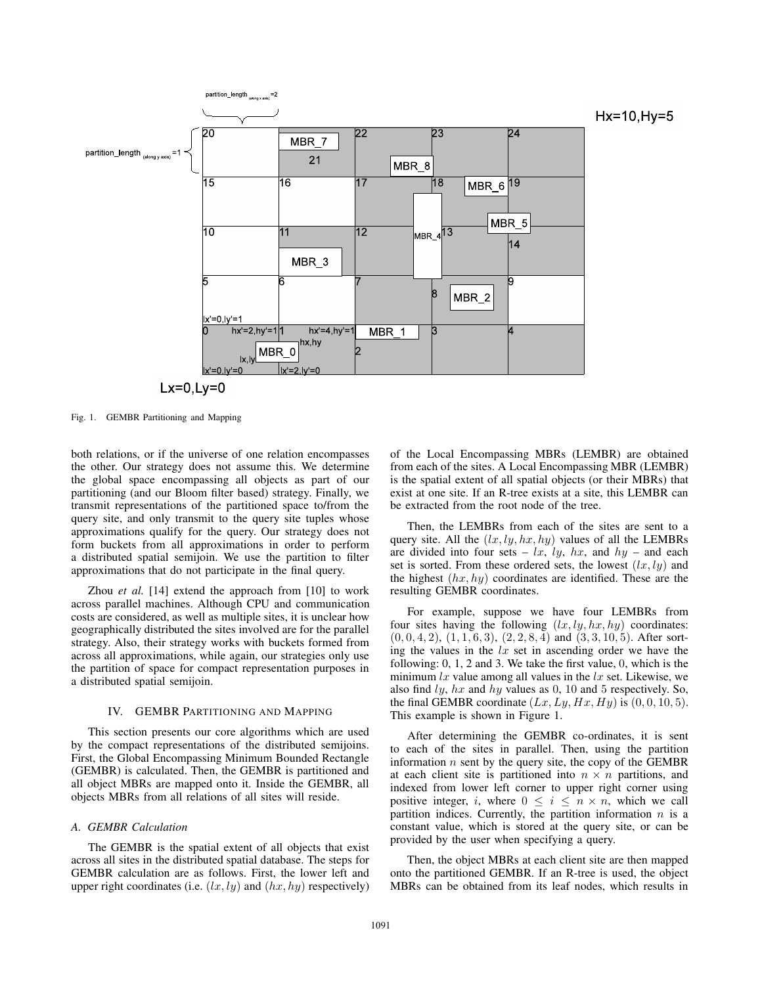

Fig. 1. GEMBR Partitioning and Mapping

both relations, or if the universe of one relation encompasses the other. Our strategy does not assume this. We determine the global space encompassing all objects as part of our partitioning (and our Bloom filter based) strategy. Finally, we transmit representations of the partitioned space to/from the query site, and only transmit to the query site tuples whose approximations qualify for the query. Our strategy does not form buckets from all approximations in order to perform a distributed spatial semijoin. We use the partition to filter approximations that do not participate in the final query.

Zhou *et al.* [14] extend the approach from [10] to work across parallel machines. Although CPU and communication costs are considered, as well as multiple sites, it is unclear how geographically distributed the sites involved are for the parallel strategy. Also, their strategy works with buckets formed from across all approximations, while again, our strategies only use the partition of space for compact representation purposes in a distributed spatial semijoin.

## IV. GEMBR PARTITIONING AND MAPPING

This section presents our core algorithms which are used by the compact representations of the distributed semijoins. First, the Global Encompassing Minimum Bounded Rectangle (GEMBR) is calculated. Then, the GEMBR is partitioned and all object MBRs are mapped onto it. Inside the GEMBR, all objects MBRs from all relations of all sites will reside.

## *A. GEMBR Calculation*

The GEMBR is the spatial extent of all objects that exist across all sites in the distributed spatial database. The steps for GEMBR calculation are as follows. First, the lower left and upper right coordinates (i.e.  $(lx, ly)$  and  $(hx, hy)$  respectively) of the Local Encompassing MBRs (LEMBR) are obtained from each of the sites. A Local Encompassing MBR (LEMBR) is the spatial extent of all spatial objects (or their MBRs) that exist at one site. If an R-tree exists at a site, this LEMBR can be extracted from the root node of the tree.

Then, the LEMBRs from each of the sites are sent to a query site. All the  $(lx, ly, hx, hy)$  values of all the LEMBRs are divided into four sets –  $lx$ ,  $ly$ ,  $hx$ , and  $hy$  – and each set is sorted. From these ordered sets, the lowest  $(lx, ly)$  and the highest  $(hx, hy)$  coordinates are identified. These are the resulting GEMBR coordinates.

For example, suppose we have four LEMBRs from four sites having the following  $(lx, ly, hx, hy)$  coordinates:  $(0, 0, 4, 2), (1, 1, 6, 3), (2, 2, 8, 4)$  and  $(3, 3, 10, 5)$ . After sorting the values in the  $lx$  set in ascending order we have the following: 0, 1, 2 and 3. We take the first value, 0, which is the minimum  $lx$  value among all values in the  $lx$  set. Likewise, we also find  $ly$ ,  $hx$  and  $hy$  values as 0, 10 and 5 respectively. So, the final GEMBR coordinate  $(Lx, Ly, Hx, Hy)$  is  $(0, 0, 10, 5)$ . This example is shown in Figure 1.

After determining the GEMBR co-ordinates, it is sent to each of the sites in parallel. Then, using the partition information  $n$  sent by the query site, the copy of the GEMBR at each client site is partitioned into  $n \times n$  partitions, and indexed from lower left corner to upper right corner using positive integer, i, where  $0 \le i \le n \times n$ , which we call partition indices. Currently, the partition information  $n$  is a constant value, which is stored at the query site, or can be provided by the user when specifying a query.

Then, the object MBRs at each client site are then mapped onto the partitioned GEMBR. If an R-tree is used, the object MBRs can be obtained from its leaf nodes, which results in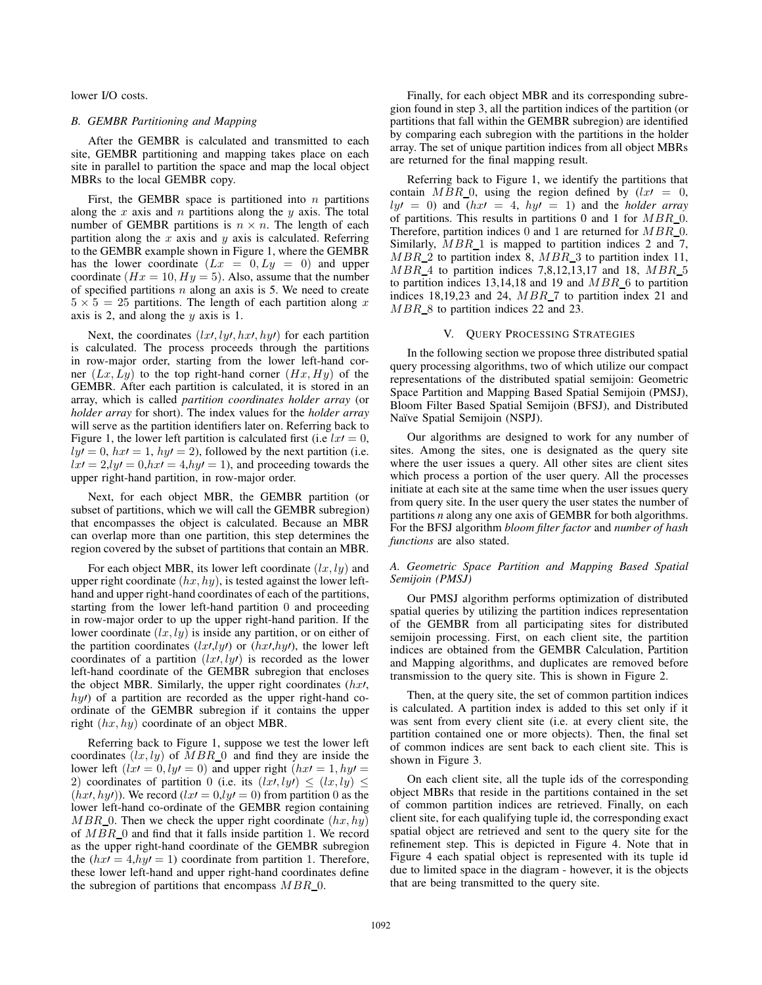lower I/O costs.

# *B. GEMBR Partitioning and Mapping*

After the GEMBR is calculated and transmitted to each site, GEMBR partitioning and mapping takes place on each site in parallel to partition the space and map the local object MBRs to the local GEMBR copy.

First, the GEMBR space is partitioned into  $n$  partitions along the  $x$  axis and  $n$  partitions along the  $y$  axis. The total number of GEMBR partitions is  $n \times n$ . The length of each partition along the  $x$  axis and  $y$  axis is calculated. Referring to the GEMBR example shown in Figure 1, where the GEMBR has the lower coordinate  $(Lx = 0, Ly = 0)$  and upper coordinate  $(Hx = 10, Hy = 5)$ . Also, assume that the number of specified partitions  $n$  along an axis is 5. We need to create  $5 \times 5 = 25$  partitions. The length of each partition along x axis is 2, and along the y axis is 1.

Next, the coordinates  $(lx, ly, hx, hy)$  for each partition is calculated. The process proceeds through the partitions in row-major order, starting from the lower left-hand corner  $(Lx, Ly)$  to the top right-hand corner  $(Hx, Hy)$  of the GEMBR. After each partition is calculated, it is stored in an array, which is called *partition coordinates holder array* (or *holder array* for short). The index values for the *holder array* will serve as the partition identifiers later on. Referring back to Figure 1, the lower left partition is calculated first (i.e  $lx = 0$ ,  $\ell y = 0$ ,  $hx = 1$ ,  $hy = 2$ ), followed by the next partition (i.e.  $lx' = 2, ly' = 0, hx' = 4, hy' = 1$ , and proceeding towards the upper right-hand partition, in row-major order.

Next, for each object MBR, the GEMBR partition (or subset of partitions, which we will call the GEMBR subregion) that encompasses the object is calculated. Because an MBR can overlap more than one partition, this step determines the region covered by the subset of partitions that contain an MBR.

For each object MBR, its lower left coordinate  $(lx, ly)$  and upper right coordinate  $(hx, hy)$ , is tested against the lower lefthand and upper right-hand coordinates of each of the partitions, starting from the lower left-hand partition 0 and proceeding in row-major order to up the upper right-hand parition. If the lower coordinate  $(lx, ly)$  is inside any partition, or on either of the partition coordinates  $(lx, l_y)$  or  $(hx, hy)$ , the lower left coordinates of a partition  $(lx,ly)$  is recorded as the lower left-hand coordinate of the GEMBR subregion that encloses the object MBR. Similarly, the upper right coordinates  $(hx)$ ,  $h(y)$  of a partition are recorded as the upper right-hand coordinate of the GEMBR subregion if it contains the upper right  $(hx, hy)$  coordinate of an object MBR.

Referring back to Figure 1, suppose we test the lower left coordinates  $(lx, ly)$  of  $MBR_0$  and find they are inside the lower left  $(lx t = 0, ly t = 0)$  and upper right  $(hx t = 1, hy t = 1)$ 2) coordinates of partition 0 (i.e. its  $(lx,ly) \leq (lx,ly) \leq$  $(hx, hy)$ ). We record  $(lx = 0, ly = 0)$  from partition 0 as the lower left-hand co-ordinate of the GEMBR region containing  $MBR_0$ . Then we check the upper right coordinate  $(hx, hy)$ of  $MBR_0$  and find that it falls inside partition 1. We record as the upper right-hand coordinate of the GEMBR subregion the  $(hx/ = 4, hy/ = 1)$  coordinate from partition 1. Therefore, these lower left-hand and upper right-hand coordinates define the subregion of partitions that encompass  $MBR_0$ .

Finally, for each object MBR and its corresponding subregion found in step 3, all the partition indices of the partition (or partitions that fall within the GEMBR subregion) are identified by comparing each subregion with the partitions in the holder array. The set of unique partition indices from all object MBRs are returned for the final mapping result.

Referring back to Figure 1, we identify the partitions that contain MBR\_0, using the region defined by  $(lx t = 0,$  $\frac{dy}{dx} = 0$ ) and  $\frac{h x}{y} = 4$ ,  $\frac{h y}{y} = 1$  and the *holder array* of partitions. This results in partitions  $0$  and  $1$  for  $MBR_0$ . Therefore, partition indices  $0$  and  $1$  are returned for  $MBR_0$ . Similarly,  $MBR_1$  is mapped to partition indices 2 and 7,  $MBR_2$  to partition index 8,  $MBR_3$  to partition index 11,  $MBR_4$  to partition indices 7,8,12,13,17 and 18,  $MBR_5$ to partition indices 13,14,18 and 19 and  $MBR\_6$  to partition indices  $18,19,23$  and  $24$ ,  $MBR_7$  to partition index  $21$  and  $MBR_8$  to partition indices 22 and 23.

## V. QUERY PROCESSING STRATEGIES

In the following section we propose three distributed spatial query processing algorithms, two of which utilize our compact representations of the distributed spatial semijoin: Geometric Space Partition and Mapping Based Spatial Semijoin (PMSJ), Bloom Filter Based Spatial Semijoin (BFSJ), and Distributed Naïve Spatial Semijoin (NSPJ).

Our algorithms are designed to work for any number of sites. Among the sites, one is designated as the query site where the user issues a query. All other sites are client sites which process a portion of the user query. All the processes initiate at each site at the same time when the user issues query from query site. In the user query the user states the number of partitions *n* along any one axis of GEMBR for both algorithms. For the BFSJ algorithm *bloom filter factor* and *number of hash functions* are also stated.

# *A. Geometric Space Partition and Mapping Based Spatial Semijoin (PMSJ)*

Our PMSJ algorithm performs optimization of distributed spatial queries by utilizing the partition indices representation of the GEMBR from all participating sites for distributed semijoin processing. First, on each client site, the partition indices are obtained from the GEMBR Calculation, Partition and Mapping algorithms, and duplicates are removed before transmission to the query site. This is shown in Figure 2.

Then, at the query site, the set of common partition indices is calculated. A partition index is added to this set only if it was sent from every client site (i.e. at every client site, the partition contained one or more objects). Then, the final set of common indices are sent back to each client site. This is shown in Figure 3.

On each client site, all the tuple ids of the corresponding object MBRs that reside in the partitions contained in the set of common partition indices are retrieved. Finally, on each client site, for each qualifying tuple id, the corresponding exact spatial object are retrieved and sent to the query site for the refinement step. This is depicted in Figure 4. Note that in Figure 4 each spatial object is represented with its tuple id due to limited space in the diagram - however, it is the objects that are being transmitted to the query site.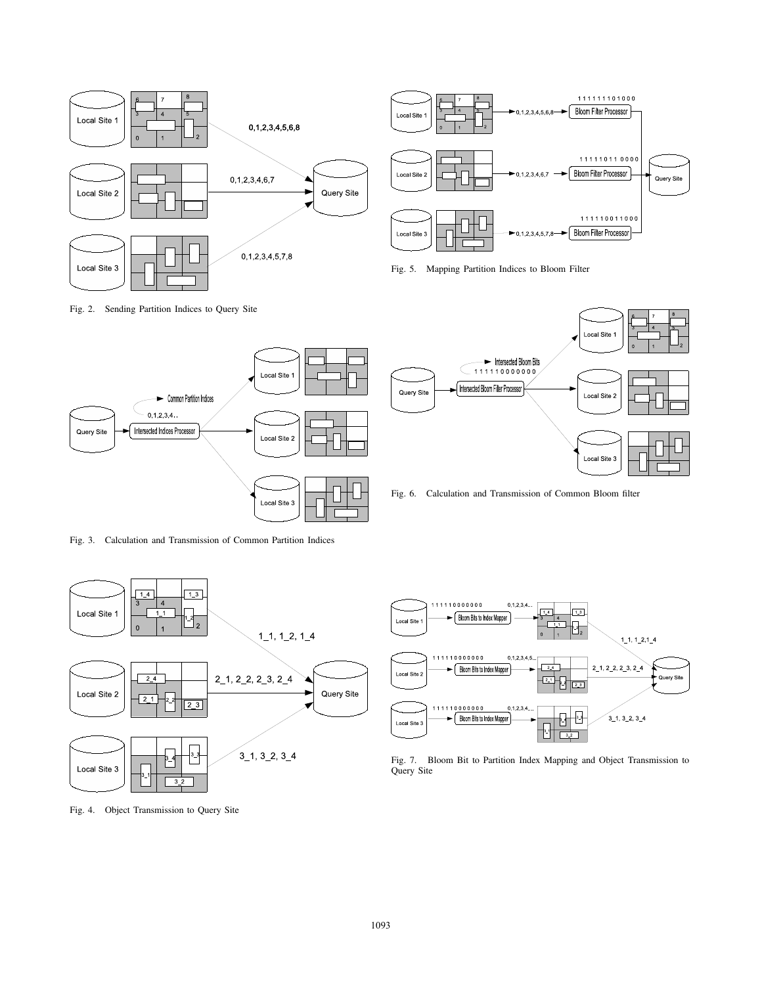

Fig. 2. Sending Partition Indices to Query Site



Fig. 5. Mapping Partition Indices to Bloom Filter



Fig. 6. Calculation and Transmission of Common Bloom filter



Fig. 3. Calculation and Transmission of Common Partition Indices





Fig. 7. Bloom Bit to Partition Index Mapping and Object Transmission to Query Site

Fig. 4. Object Transmission to Query Site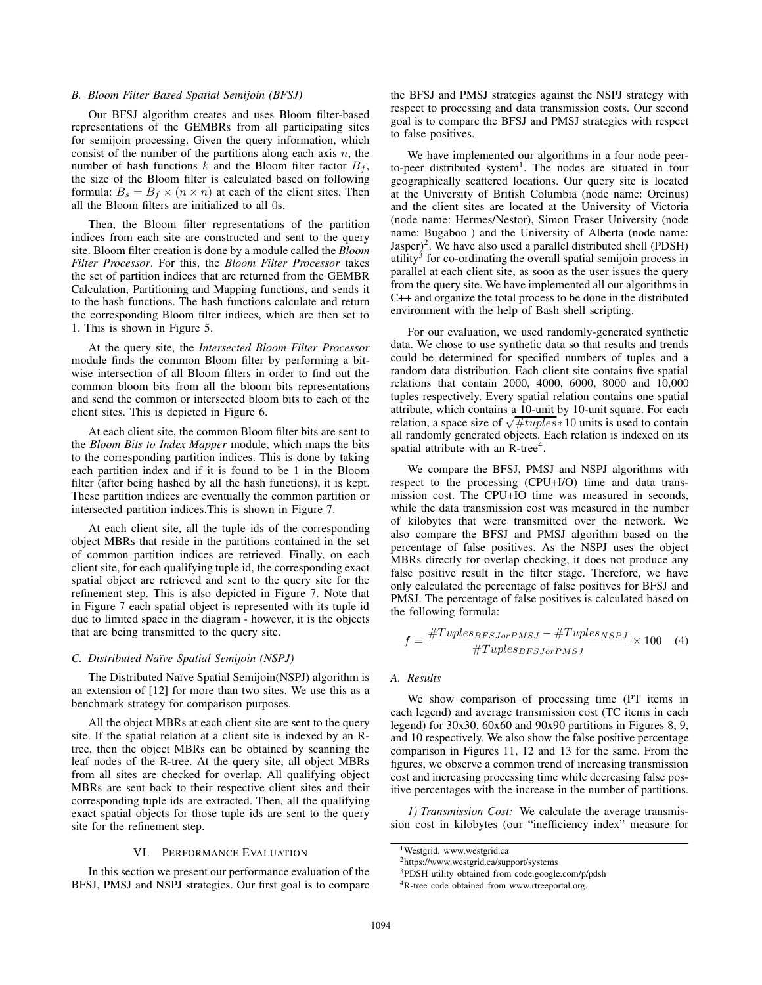# *B. Bloom Filter Based Spatial Semijoin (BFSJ)*

Our BFSJ algorithm creates and uses Bloom filter-based representations of the GEMBRs from all participating sites for semijoin processing. Given the query information, which consist of the number of the partitions along each axis  $n$ , the number of hash functions k and the Bloom filter factor  $B_f$ , the size of the Bloom filter is calculated based on following formula:  $B_s = B_f \times (n \times n)$  at each of the client sites. Then all the Bloom filters are initialized to all 0s.

Then, the Bloom filter representations of the partition indices from each site are constructed and sent to the query site. Bloom filter creation is done by a module called the *Bloom Filter Processor*. For this, the *Bloom Filter Processor* takes the set of partition indices that are returned from the GEMBR Calculation, Partitioning and Mapping functions, and sends it to the hash functions. The hash functions calculate and return the corresponding Bloom filter indices, which are then set to 1. This is shown in Figure 5.

At the query site, the *Intersected Bloom Filter Processor* module finds the common Bloom filter by performing a bitwise intersection of all Bloom filters in order to find out the common bloom bits from all the bloom bits representations and send the common or intersected bloom bits to each of the client sites. This is depicted in Figure 6.

At each client site, the common Bloom filter bits are sent to the *Bloom Bits to Index Mapper* module, which maps the bits to the corresponding partition indices. This is done by taking each partition index and if it is found to be 1 in the Bloom filter (after being hashed by all the hash functions), it is kept. These partition indices are eventually the common partition or intersected partition indices.This is shown in Figure 7.

At each client site, all the tuple ids of the corresponding object MBRs that reside in the partitions contained in the set of common partition indices are retrieved. Finally, on each client site, for each qualifying tuple id, the corresponding exact spatial object are retrieved and sent to the query site for the refinement step. This is also depicted in Figure 7. Note that in Figure 7 each spatial object is represented with its tuple id due to limited space in the diagram - however, it is the objects that are being transmitted to the query site.

#### *C. Distributed Na¨ıve Spatial Semijoin (NSPJ)*

The Distributed Naïve Spatial Semijoin(NSPJ) algorithm is an extension of [12] for more than two sites. We use this as a benchmark strategy for comparison purposes.

All the object MBRs at each client site are sent to the query site. If the spatial relation at a client site is indexed by an Rtree, then the object MBRs can be obtained by scanning the leaf nodes of the R-tree. At the query site, all object MBRs from all sites are checked for overlap. All qualifying object MBRs are sent back to their respective client sites and their corresponding tuple ids are extracted. Then, all the qualifying exact spatial objects for those tuple ids are sent to the query site for the refinement step.

#### VI. PERFORMANCE EVALUATION

In this section we present our performance evaluation of the BFSJ, PMSJ and NSPJ strategies. Our first goal is to compare the BFSJ and PMSJ strategies against the NSPJ strategy with respect to processing and data transmission costs. Our second goal is to compare the BFSJ and PMSJ strategies with respect to false positives.

We have implemented our algorithms in a four node peerto-peer distributed system<sup>1</sup>. The nodes are situated in four geographically scattered locations. Our query site is located at the University of British Columbia (node name: Orcinus) and the client sites are located at the University of Victoria (node name: Hermes/Nestor), Simon Fraser University (node name: Bugaboo ) and the University of Alberta (node name: Jasper)<sup>2</sup>. We have also used a parallel distributed shell (PDSH) utility<sup>3</sup> for co-ordinating the overall spatial semijoin process in parallel at each client site, as soon as the user issues the query from the query site. We have implemented all our algorithms in C++ and organize the total process to be done in the distributed environment with the help of Bash shell scripting.

For our evaluation, we used randomly-generated synthetic data. We chose to use synthetic data so that results and trends could be determined for specified numbers of tuples and a random data distribution. Each client site contains five spatial relations that contain 2000, 4000, 6000, 8000 and 10,000 tuples respectively. Every spatial relation contains one spatial attribute, which contains a 10-unit by 10-unit square. For each relation, a space size of  $\sqrt{\#tuples*10}$  units is used to contain all randomly generated objects. Each relation is indexed on its spatial attribute with an  $R$ -tree<sup>4</sup>.

We compare the BFSJ, PMSJ and NSPJ algorithms with respect to the processing (CPU+I/O) time and data transmission cost. The CPU+IO time was measured in seconds, while the data transmission cost was measured in the number of kilobytes that were transmitted over the network. We also compare the BFSJ and PMSJ algorithm based on the percentage of false positives. As the NSPJ uses the object MBRs directly for overlap checking, it does not produce any false positive result in the filter stage. Therefore, we have only calculated the percentage of false positives for BFSJ and PMSJ. The percentage of false positives is calculated based on the following formula:

$$
f = \frac{\#Tuples_{BFSJorPMSJ} - \#Tuples_{NSPI}}{\#Tuples_{BFSJorPMSJ}} \times 100
$$
 (4)

### *A. Results*

We show comparison of processing time (PT items in each legend) and average transmission cost (TC items in each legend) for 30x30, 60x60 and 90x90 partitions in Figures 8, 9, and 10 respectively. We also show the false positive percentage comparison in Figures 11, 12 and 13 for the same. From the figures, we observe a common trend of increasing transmission cost and increasing processing time while decreasing false positive percentages with the increase in the number of partitions.

*1) Transmission Cost:* We calculate the average transmission cost in kilobytes (our "inefficiency index" measure for

<sup>1</sup>Westgrid, www.westgrid.ca

<sup>2</sup>https://www.westgrid.ca/support/systems

<sup>&</sup>lt;sup>3</sup>PDSH utility obtained from code.google.com/p/pdsh

<sup>&</sup>lt;sup>4</sup>R-tree code obtained from www.rtreeportal.org.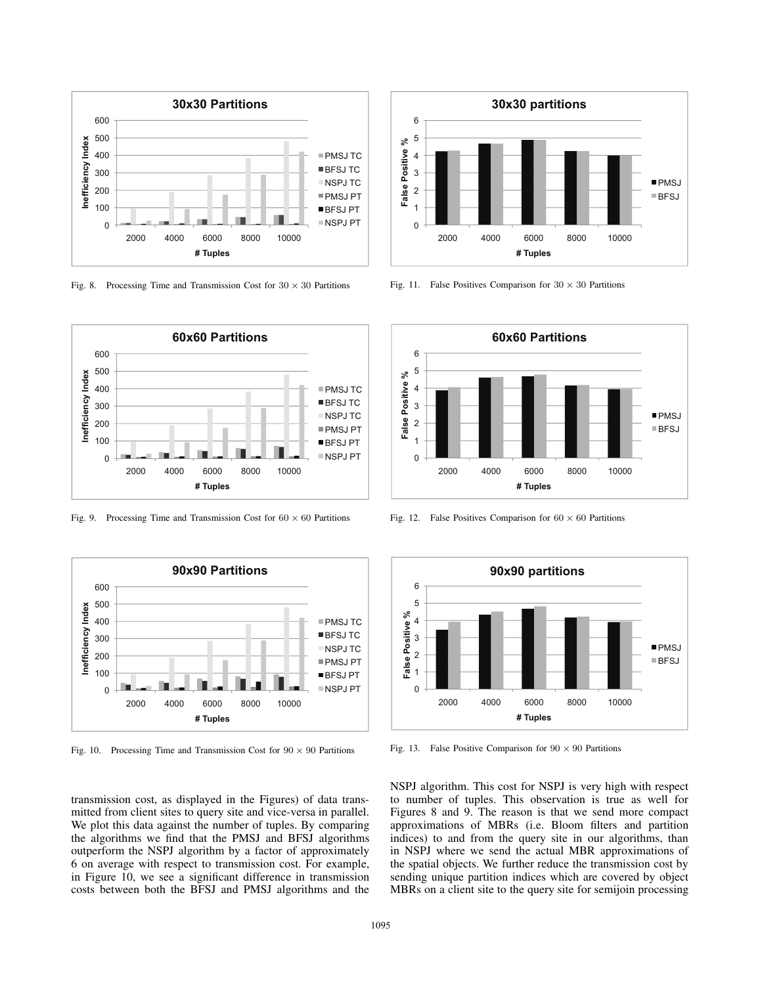

Fig. 8. Processing Time and Transmission Cost for  $30 \times 30$  Partitions



Fig. 9. Processing Time and Transmission Cost for  $60 \times 60$  Partitions



Fig. 10. Processing Time and Transmission Cost for  $90 \times 90$  Partitions

transmission cost, as displayed in the Figures) of data transmitted from client sites to query site and vice-versa in parallel. We plot this data against the number of tuples. By comparing the algorithms we find that the PMSJ and BFSJ algorithms outperform the NSPJ algorithm by a factor of approximately 6 on average with respect to transmission cost. For example, in Figure 10, we see a significant difference in transmission costs between both the BFSJ and PMSJ algorithms and the



Fig. 11. False Positives Comparison for  $30 \times 30$  Partitions



Fig. 12. False Positives Comparison for  $60 \times 60$  Partitions



Fig. 13. False Positive Comparison for  $90 \times 90$  Partitions

NSPJ algorithm. This cost for NSPJ is very high with respect to number of tuples. This observation is true as well for Figures 8 and 9. The reason is that we send more compact approximations of MBRs (i.e. Bloom filters and partition indices) to and from the query site in our algorithms, than in NSPJ where we send the actual MBR approximations of the spatial objects. We further reduce the transmission cost by sending unique partition indices which are covered by object MBRs on a client site to the query site for semijoin processing